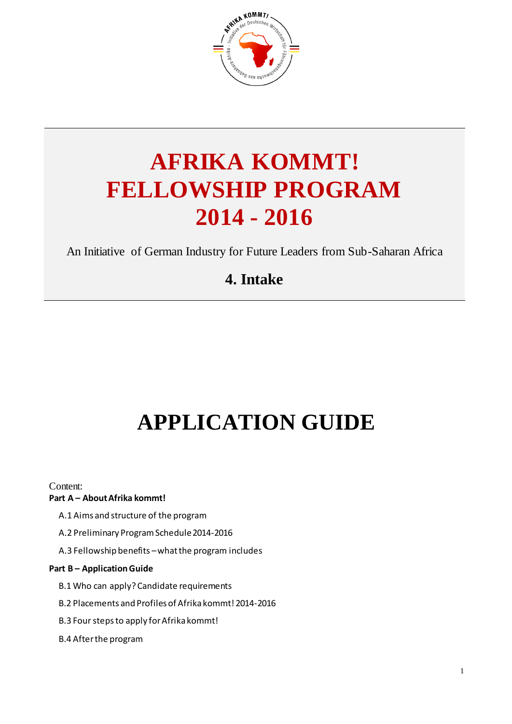

# **AFRIKA KOMMT! FELLOWSHIP PROGRAM 2014 - 2016**

An Initiative of German Industry for Future Leaders from Sub-Saharan Africa

# **4. Intake**

# **APPLICATION GUIDE**

Content:

#### **Part A – [AboutAfrika kommt!](#page-2-0)**

- [A.1 Aims and structure of the program](#page-2-1)
- [A.2 Preliminary Program Schedule 2014-2016](#page-3-0)
- A.3 Fellowship benefits –[what the program includes](#page-4-0)

#### **Part B – [Application Guide](#page-5-0)**

- [B.1 Who can apply? Candidate requirements](#page-5-1)
- [B.2 Placements and Profiles of Afrika kommt! 2014-2016](#page-6-0)
- [B.3 Four steps to apply for Afrika kommt!](#page-9-0)
- [B.4 After the program](#page-10-0)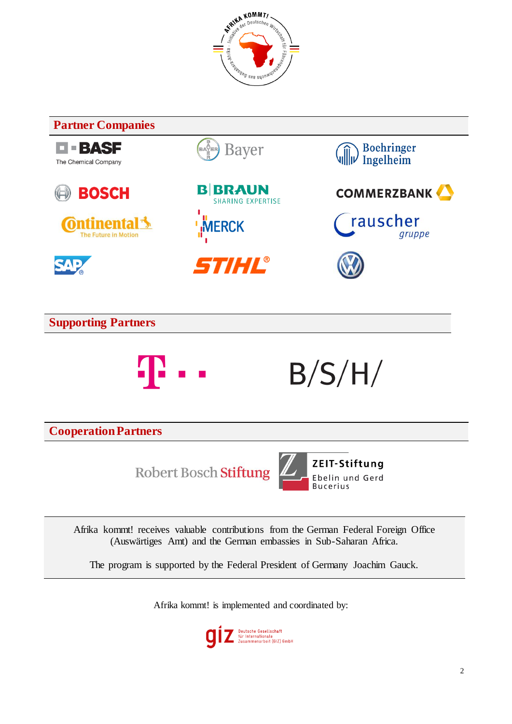



The program is supported by the Federal President of Germany Joachim Gauck.

Afrika kommt! is implemented and coordinated by:

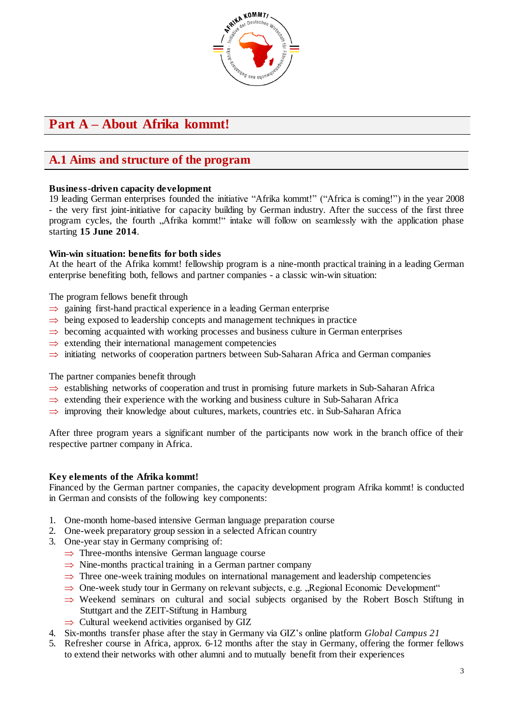

# <span id="page-2-0"></span>**Part A – About Afrika kommt!**

## <span id="page-2-1"></span>**A.1 Aims and structure of the program**

#### **Business-driven capacity development**

19 leading German enterprises founded the initiative "Afrika kommt!" ("Africa is coming!") in the year 2008 - the very first joint-initiative for capacity building by German industry. After the success of the first three program cycles, the fourth "Afrika kommt!" intake will follow on seamlessly with the application phase starting **15 June 2014**.

#### **Win-win situation: benefits for both sides**

At the heart of the Afrika kommt! fellowship program is a nine-month practical training in a leading German enterprise benefiting both, fellows and partner companies - a classic win-win situation:

The program fellows benefit through

- $\Rightarrow$  gaining first-hand practical experience in a leading German enterprise
- $\Rightarrow$  being exposed to leadership concepts and management techniques in practice
- $\Rightarrow$  becoming acquainted with working processes and business culture in German enterprises
- $\Rightarrow$  extending their international management competencies
- $\Rightarrow$  initiating networks of cooperation partners between Sub-Saharan Africa and German companies

The partner companies benefit through

- $\Rightarrow$  establishing networks of cooperation and trust in promising future markets in Sub-Saharan Africa
- $\Rightarrow$  extending their experience with the working and business culture in Sub-Saharan Africa
- $\Rightarrow$  improving their knowledge about cultures, markets, countries etc. in Sub-Saharan Africa

After three program years a significant number of the participants now work in the branch office of their respective partner company in Africa.

#### **Key elements of the Afrika kommt!**

Financed by the German partner companies, the capacity development program Afrika kommt! is conducted in German and consists of the following key components:

- 1. One-month home-based intensive German language preparation course
- 2. One-week preparatory group session in a selected African country
- 3. One-year stay in Germany comprising of:
	- $\Rightarrow$  Three-months intensive German language course
	- $\Rightarrow$  Nine-months practical training in a German partner company
	- $\Rightarrow$  Three one-week training modules on international management and leadership competencies
	- $\Rightarrow$  One-week study tour in Germany on relevant subjects, e.g. "Regional Economic Development"
	- $\Rightarrow$  Weekend seminars on cultural and social subjects organised by the Robert Bosch Stiftung in Stuttgart and the ZEIT-Stiftung in Hamburg
	- $\Rightarrow$  Cultural weekend activities organised by GIZ
- 4. Six-months transfer phase after the stay in Germany via GIZ's online platform *Global Campus 21*
- 5. Refresher course in Africa, approx. 6-12 months after the stay in Germany, offering the former fellows to extend their networks with other alumni and to mutually benefit from their experiences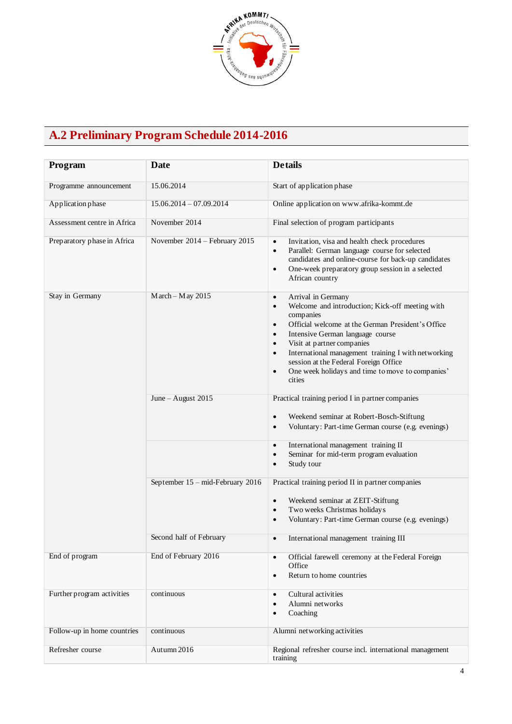

# <span id="page-3-0"></span>**A.2 Preliminary Program Schedule 2014-2016**

| Program                     | Date                             | <b>Details</b>                                                                                                                                                                                                                                                                                                                                                                                                                                                     |
|-----------------------------|----------------------------------|--------------------------------------------------------------------------------------------------------------------------------------------------------------------------------------------------------------------------------------------------------------------------------------------------------------------------------------------------------------------------------------------------------------------------------------------------------------------|
| Programme announcement      | 15.06.2014                       | Start of application phase                                                                                                                                                                                                                                                                                                                                                                                                                                         |
| Application phase           | $15.06.2014 - 07.09.2014$        | Online application on www.afrika-kommt.de                                                                                                                                                                                                                                                                                                                                                                                                                          |
| Assessment centre in Africa | November 2014                    | Final selection of program participants                                                                                                                                                                                                                                                                                                                                                                                                                            |
| Preparatory phase in Africa | November 2014 - February 2015    | Invitation, visa and health check procedures<br>$\bullet$<br>Parallel: German language course for selected<br>$\bullet$<br>candidates and online-course for back-up candidates<br>One-week preparatory group session in a selected<br>$\bullet$<br>African country                                                                                                                                                                                                 |
| Stay in Germany             | $March - May 2015$               | Arrival in Germany<br>$\bullet$<br>Welcome and introduction; Kick-off meeting with<br>$\bullet$<br>companies<br>Official welcome at the German President's Office<br>$\bullet$<br>Intensive German language course<br>$\bullet$<br>Visit at partner companies<br>$\bullet$<br>International management training I with networking<br>$\bullet$<br>session at the Federal Foreign Office<br>One week holidays and time to move to companies'<br>$\bullet$<br>cities |
|                             | June - August 2015               | Practical training period I in partner companies                                                                                                                                                                                                                                                                                                                                                                                                                   |
|                             |                                  | Weekend seminar at Robert-Bosch-Stiftung<br>$\bullet$<br>Voluntary: Part-time German course (e.g. evenings)<br>$\bullet$                                                                                                                                                                                                                                                                                                                                           |
|                             |                                  | International management training II<br>$\bullet$<br>Seminar for mid-term program evaluation<br>$\bullet$<br>Study tour<br>$\bullet$                                                                                                                                                                                                                                                                                                                               |
|                             | September 15 - mid-February 2016 | Practical training period II in partner companies<br>Weekend seminar at ZEIT-Stiftung<br>$\bullet$<br>Two weeks Christmas holidays<br>$\bullet$<br>Voluntary: Part-time German course (e.g. evenings)<br>$\bullet$                                                                                                                                                                                                                                                 |
|                             | Second half of February          | International management training III<br>$\bullet$                                                                                                                                                                                                                                                                                                                                                                                                                 |
| End of program              | End of February 2016             | Official farewell ceremony at the Federal Foreign<br>$\bullet$<br>Office<br>Return to home countries<br>$\bullet$                                                                                                                                                                                                                                                                                                                                                  |
| Further program activities  | continuous                       | Cultural activities<br>$\bullet$<br>Alumni networks<br>$\bullet$<br>Coaching<br>$\bullet$                                                                                                                                                                                                                                                                                                                                                                          |
| Follow-up in home countries | continuous                       | Alumni networking activities                                                                                                                                                                                                                                                                                                                                                                                                                                       |
| Refresher course            | Autumn 2016                      | Regional refresher course incl. international management<br>training                                                                                                                                                                                                                                                                                                                                                                                               |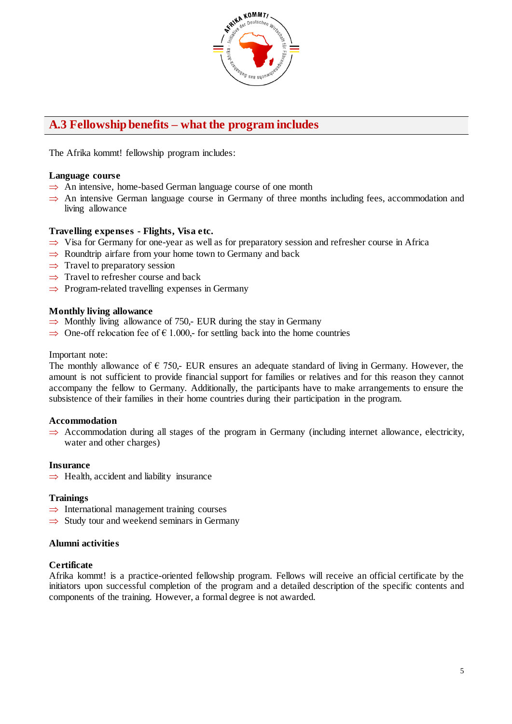

## <span id="page-4-0"></span>**A.3 Fellowship benefits – what the program includes**

The Afrika kommt! fellowship program includes:

#### **Language course**

- $\implies$  An intensive, home-based German language course of one month
- $\Rightarrow$  An intensive German language course in Germany of three months including fees, accommodation and living allowance

#### **Travelling expenses - Flights, Visa etc.**

- $\Rightarrow$  Visa for Germany for one-year as well as for preparatory session and refresher course in Africa
- $\Rightarrow$  Roundtrip airfare from your home town to Germany and back
- $\Rightarrow$  Travel to preparatory session
- $\Rightarrow$  Travel to refresher course and back
- $\Rightarrow$  Program-related travelling expenses in Germany

#### **Monthly living allowance**

- $\Rightarrow$  Monthly living allowance of 750,- EUR during the stay in Germany
- $\Rightarrow$  One-off relocation fee of  $\epsilon$  1.000,- for settling back into the home countries

#### Important note:

The monthly allowance of  $\epsilon$  750,- EUR ensures an adequate standard of living in Germany. However, the amount is not sufficient to provide financial support for families or relatives and for this reason they cannot accompany the fellow to Germany. Additionally, the participants have to make arrangements to ensure the subsistence of their families in their home countries during their participation in the program.

#### **Accommodation**

 $\Rightarrow$  Accommodation during all stages of the program in Germany (including internet allowance, electricity, water and other charges)

#### **Insurance**

 $\Rightarrow$  Health, accident and liability insurance

#### **Trainings**

- $\Rightarrow$  International management training courses
- $\Rightarrow$  Study tour and weekend seminars in Germany

#### **Alumni activities**

#### **Certificate**

Afrika kommt! is a practice-oriented fellowship program. Fellows will receive an official certificate by the initiators upon successful completion of the program and a detailed description of the specific contents and components of the training. However, a formal degree is not awarded.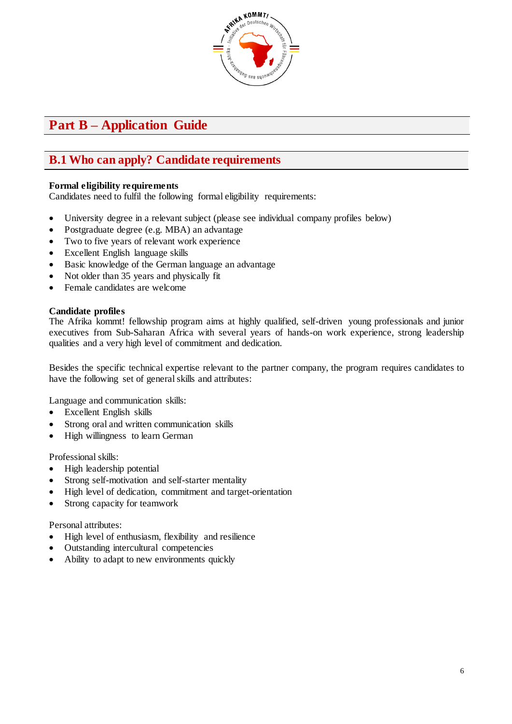

# <span id="page-5-0"></span>**Part B – Application Guide**

## <span id="page-5-1"></span>**B.1 Who can apply? Candidate requirements**

#### **Formal eligibility requirements**

Candidates need to fulfil the following formal eligibility requirements:

- University degree in a relevant subject (please see individual company profiles below)
- Postgraduate degree (e.g. MBA) an advantage
- Two to five years of relevant work experience
- Excellent English language skills
- Basic knowledge of the German language an advantage
- Not older than 35 years and physically fit
- Female candidates are welcome

#### **Candidate profiles**

The Afrika kommt! fellowship program aims at highly qualified, self-driven young professionals and junior executives from Sub-Saharan Africa with several years of hands-on work experience, strong leadership qualities and a very high level of commitment and dedication.

Besides the specific technical expertise relevant to the partner company, the program requires candidates to have the following set of general skills and attributes:

Language and communication skills:

- Excellent English skills
- Strong oral and written communication skills
- High willingness to learn German

Professional skills:

- High leadership potential
- Strong self-motivation and self-starter mentality
- High level of dedication, commitment and target-orientation
- Strong capacity for teamwork

Personal attributes:

- High level of enthusiasm, flexibility and resilience
- Outstanding intercultural competencies
- Ability to adapt to new environments quickly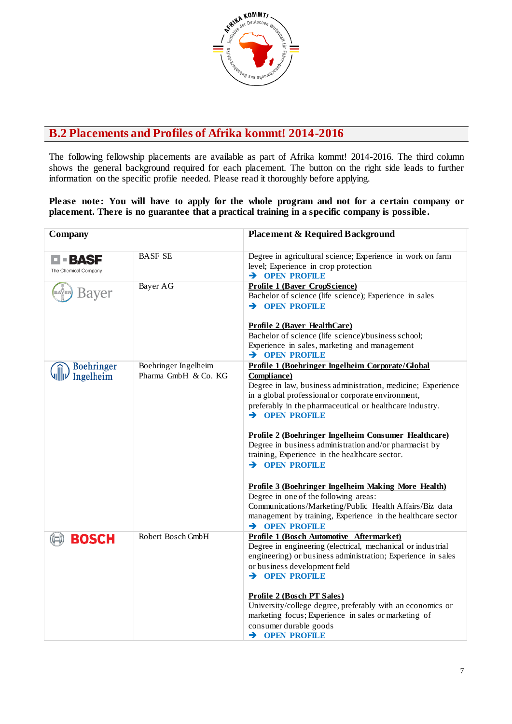

### <span id="page-6-0"></span>**B.2 Placements and Profiles of Afrika kommt! 2014-2016**

The following fellowship placements are available as part of Afrika kommt! 2014-2016. The third column shows the general background required for each placement. The button on the right side leads to further information on the specific profile needed. Please read it thoroughly before applying.

#### **Please note: You will have to apply for the whole program and not for a certain company or placement. There is no guarantee that a practical training in a specific company is possible .**

| Company                              |                                              | <b>Placement &amp; Required Background</b>                                                                                                                                                                                                                                                                                                                                                                                                                                                                                                                                                                                                                                                                                                               |
|--------------------------------------|----------------------------------------------|----------------------------------------------------------------------------------------------------------------------------------------------------------------------------------------------------------------------------------------------------------------------------------------------------------------------------------------------------------------------------------------------------------------------------------------------------------------------------------------------------------------------------------------------------------------------------------------------------------------------------------------------------------------------------------------------------------------------------------------------------------|
| <b>=BASF</b><br>The Chemical Company | <b>BASF SE</b>                               | Degree in agricultural science; Experience in work on farm<br>level; Experience in crop protection<br>$\rightarrow$ OPEN PROFILE                                                                                                                                                                                                                                                                                                                                                                                                                                                                                                                                                                                                                         |
| Bayer                                | Bayer AG                                     | Profile 1 (Bayer CropScience)<br>Bachelor of science (life science); Experience in sales<br>$\rightarrow$ OPEN PROFILE<br><b>Profile 2 (Bayer HealthCare)</b><br>Bachelor of science (life science)/business school;<br>Experience in sales, marketing and management<br>$\rightarrow$ OPEN PROFILE                                                                                                                                                                                                                                                                                                                                                                                                                                                      |
| <b>Boehringer</b><br>Ingelheim       | Boehringer Ingelheim<br>Pharma GmbH & Co. KG | Profile 1 (Boehringer Ingelheim Corporate/Global<br><b>Compliance</b> )<br>Degree in law, business administration, medicine; Experience<br>in a global professional or corporate environment,<br>preferably in the pharmaceutical or healthcare industry.<br>$\rightarrow$ OPEN PROFILE<br><u>Profile 2 (Boehringer Ingelheim Consumer Healthcare)</u><br>Degree in business administration and/or pharmacist by<br>training, Experience in the healthcare sector.<br>$\rightarrow$ OPEN PROFILE<br>Profile 3 (Boehringer Ingelheim Making More Health)<br>Degree in one of the following areas:<br>Communications/Marketing/Public Health Affairs/Biz data<br>management by training, Experience in the healthcare sector<br>$\rightarrow$ OPEN PROFILE |
| <b>BOSCH</b>                         | Robert Bosch GmbH                            | <b>Profile 1 (Bosch Automotive Aftermarket)</b><br>Degree in engineering (electrical, mechanical or industrial<br>engineering) or business administration; Experience in sales<br>or business development field<br>$\rightarrow$ OPEN PROFILE<br><b>Profile 2 (Bosch PT Sales)</b><br>University/college degree, preferably with an economics or<br>marketing focus; Experience in sales or marketing of<br>consumer durable goods<br>> OPEN PROFILE                                                                                                                                                                                                                                                                                                     |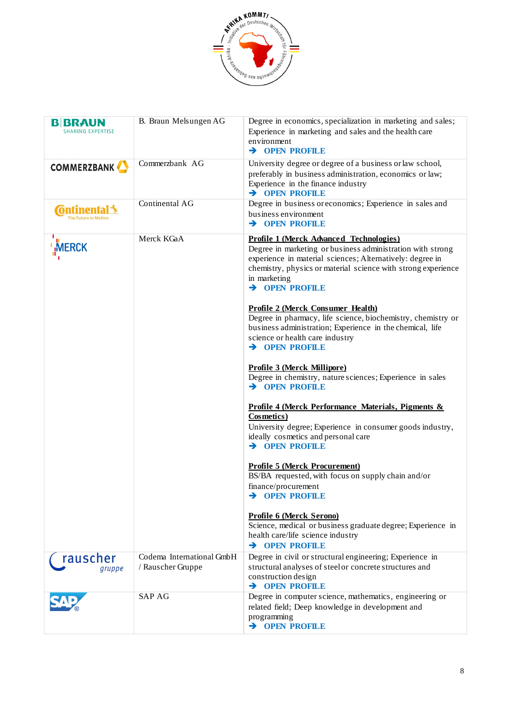

| <b>BIBRAUN</b><br><b>SHARING EXPERTISE</b> | B. Braun Melsungen AG                          | Degree in economics, specialization in marketing and sales;<br>Experience in marketing and sales and the health care<br>environment<br>> OPEN PROFILE                                                                                                                                                                                                                                                                                                                                                                                                                                                                                                                                                                                                                                                                                                                                                                                                                                                                                                                                                              |
|--------------------------------------------|------------------------------------------------|--------------------------------------------------------------------------------------------------------------------------------------------------------------------------------------------------------------------------------------------------------------------------------------------------------------------------------------------------------------------------------------------------------------------------------------------------------------------------------------------------------------------------------------------------------------------------------------------------------------------------------------------------------------------------------------------------------------------------------------------------------------------------------------------------------------------------------------------------------------------------------------------------------------------------------------------------------------------------------------------------------------------------------------------------------------------------------------------------------------------|
| <b>COMMERZBANK</b>                         | Commerzbank AG                                 | University degree or degree of a business or law school,<br>preferably in business administration, economics or law;<br>Experience in the finance industry<br>$\rightarrow$ OPEN PROFILE                                                                                                                                                                                                                                                                                                                                                                                                                                                                                                                                                                                                                                                                                                                                                                                                                                                                                                                           |
| <b>C</b> ontinental 3                      | Continental AG                                 | Degree in business or economics; Experience in sales and<br>business environment<br>$\rightarrow$ OPEN PROFILE                                                                                                                                                                                                                                                                                                                                                                                                                                                                                                                                                                                                                                                                                                                                                                                                                                                                                                                                                                                                     |
| <b>MERCK</b>                               | Merck KGaA                                     | <b>Profile 1 (Merck Advanced Technologies)</b><br>Degree in marketing or business administration with strong<br>experience in material sciences; Alternatively: degree in<br>chemistry, physics or material science with strong experience<br>in marketing<br>$\rightarrow$ OPEN PROFILE<br><b>Profile 2 (Merck Consumer Health)</b><br>Degree in pharmacy, life science, biochemistry, chemistry or<br>business administration; Experience in the chemical, life<br>science or health care industry<br>$\rightarrow$ OPEN PROFILE<br><b>Profile 3 (Merck Millipore)</b><br>Degree in chemistry, nature sciences; Experience in sales<br>$\rightarrow$ OPEN PROFILE<br>Profile 4 (Merck Performance Materials, Pigments &<br>Cosmetics)<br>University degree; Experience in consumer goods industry,<br>ideally cosmetics and personal care<br>$\rightarrow$ OPEN PROFILE<br><b>Profile 5 (Merck Procurement)</b><br>BS/BA requested, with focus on supply chain and/or<br>finance/procurement<br>> OPEN PROFILE<br><b>Profile 6 (Merck Serono)</b><br>Science, medical or business graduate degree; Experience in |
|                                            |                                                | health care/life science industry<br>$\rightarrow$ OPEN PROFILE                                                                                                                                                                                                                                                                                                                                                                                                                                                                                                                                                                                                                                                                                                                                                                                                                                                                                                                                                                                                                                                    |
| rauscher<br>gruppe                         | Codema International GmbH<br>/ Rauscher Gruppe | Degree in civil or structural engineering; Experience in<br>structural analyses of steel or concrete structures and<br>construction design<br>$\rightarrow$ OPEN PROFILE                                                                                                                                                                                                                                                                                                                                                                                                                                                                                                                                                                                                                                                                                                                                                                                                                                                                                                                                           |
|                                            | <b>SAP AG</b>                                  | Degree in computer science, mathematics, engineering or<br>related field; Deep knowledge in development and<br>programming<br>> OPEN PROFILE                                                                                                                                                                                                                                                                                                                                                                                                                                                                                                                                                                                                                                                                                                                                                                                                                                                                                                                                                                       |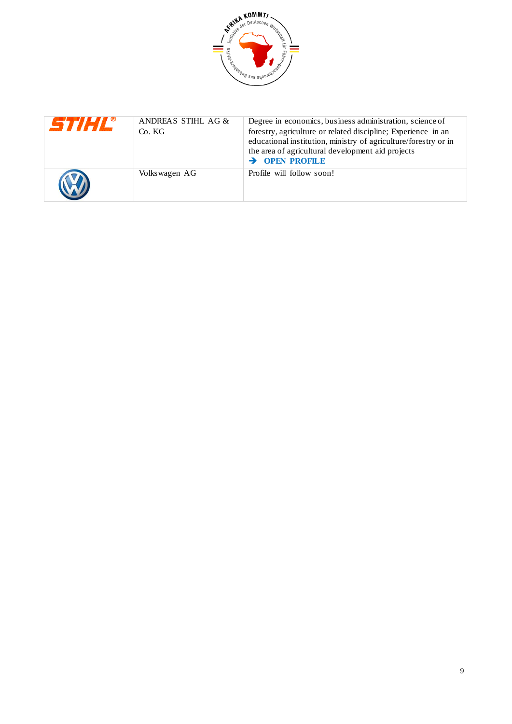

| <b>STIHL</b> ® | ANDREAS STIHL AG &<br>Co. KG | Degree in economics, business administration, science of<br>forestry, agriculture or related discipline; Experience in an<br>educational institution, ministry of agriculture/forestry or in<br>the area of agricultural development aid projects<br>$\rightarrow$ OPEN PROFILE |
|----------------|------------------------------|---------------------------------------------------------------------------------------------------------------------------------------------------------------------------------------------------------------------------------------------------------------------------------|
|                | Volkswagen AG                | Profile will follow soon!                                                                                                                                                                                                                                                       |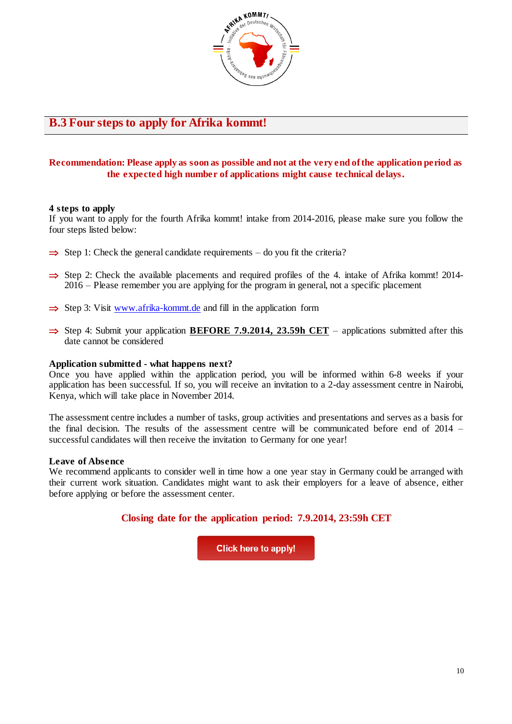

### <span id="page-9-0"></span>**B.3 Four steps to apply for Afrika kommt!**

#### **Recommendation: Please apply as soon as possible and not at the very end of the application period as the expected high number of applications might cause technical delays.**

#### **4 steps to apply**

If you want to apply for the fourth Afrika kommt! intake from 2014-2016, please make sure you follow the four steps listed below:

- $\Rightarrow$  Step 1: Check the general candidate requirements do you fit the criteria?
- $\Rightarrow$  Step 2: Check the available placements and required profiles of the 4. intake of Afrika kommt! 2014-2016 – Please remember you are applying for the program in general, not a specific placement
- $\Rightarrow$  Step 3: Visit [www.afrika-kommt.de](http://www.afrika-kommt.de/) and fill in the application form
- $\Rightarrow$  Step 4: Submit your application **BEFORE 7.9.2014, 23.59h CET** applications submitted after this date cannot be considered

#### **Application submitted - what happens next?**

Once you have applied within the application period, you will be informed within 6-8 weeks if your application has been successful. If so, you will receive an invitation to a 2-day assessment centre in Nairobi, Kenya, which will take place in November 2014.

The assessment centre includes a number of tasks, group activities and presentations and serves as a basis for the final decision. The results of the assessment centre will be communicated before end of 2014 – successful candidates will then receive the invitation to Germany for one year!

#### **Leave of Absence**

We recommend applicants to consider well in time how a one year stay in Germany could be arranged with their current work situation. Candidates might want to ask their employers for a leave of absence, either before applying or before the assessment center.

#### **Closing date for the application period: 7.9.2014, 23:59h CET**

**Click here to apply!**